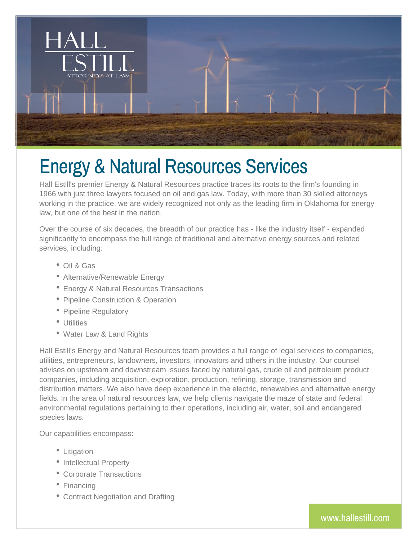

# Energy & Natural Resources Services

Hall Estill's premier Energy & Natural Resources practice traces its roots to the firm's founding in 1966 with just three lawyers focused on oil and gas law. Today, with more than 30 skilled attorneys working in the practice, we are widely recognized not only as the leading firm in Oklahoma for energy law, but one of the best in the nation.

Over the course of six decades, the breadth of our practice has - like the industry itself - expanded significantly to encompass the full range of traditional and alternative energy sources and related services, including:

- Oil & Gas
- Alternative/Renewable Energy
- Energy & Natural Resources Transactions
- Pipeline Construction & Operation
- Pipeline Regulatory
- Utilities
- Water Law & Land Rights

Hall Estill's Energy and Natural Resources team provides a full range of legal services to companies, utilities, entrepreneurs, landowners, investors, innovators and others in the industry. Our counsel advises on upstream and downstream issues faced by natural gas, crude oil and petroleum product companies, including acquisition, exploration, production, refining, storage, transmission and distribution matters. We also have deep experience in the electric, renewables and alternative energy fields. In the area of natural resources law, we help clients navigate the maze of state and federal environmental regulations pertaining to their operations, including air, water, soil and endangered species laws.

Our capabilities encompass:

- Litigation
- Intellectual Property
- Corporate Transactions
- Financing
- Contract Negotiation and Drafting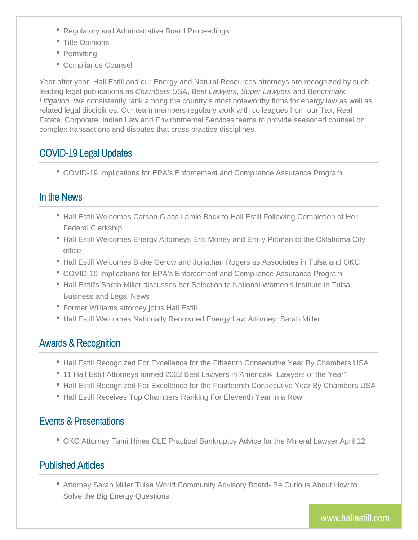- Regulatory and Administrative Board Proceedings
- Title Opinions
- Permitting
- Compliance Counsel

Year after year, Hall Estill and our Energy and Natural Resources attorneys are recognized by such leading legal publications as *Chambers USA*, *Best Lawyers*, *Super Lawyers* and *Benchmark Litigation.* We consistently rank among the country's most noteworthy firms for energy law as well as related legal disciplines. Our team members regularly work with colleagues from our Tax, Real Estate, Corporate, Indian Law and Environmental Services teams to provide seasoned counsel on complex transactions and disputes that cross practice disciplines.

### COVID-19 Legal Updates

COVID-19 Implications for EPA's Enforcement and Compliance Assurance Program

#### In the News

- Hall Estill Welcomes Carson Glass Lamle Back to Hall Estill Following Completion of Her Federal Clerkship
- Hall Estill Welcomes Energy Attorneys Eric Money and Emily Pittman to the Oklahoma City office
- Hall Estill Welcomes Blake Gerow and Jonathan Rogers as Associates in Tulsa and OKC
- COVID-19 Implications for EPA's Enforcement and Compliance Assurance Program
- Hall Estill's Sarah Miller discusses her Selection to National Women's Institute in Tulsa Business and Legal News
- Former Williams attorney joins Hall Estill
- Hall Estill Welcomes Nationally Renowned Energy Law Attorney, Sarah Miller

#### Awards & Recognition

- Hall Estill Recognized For Excellence for the Fifteenth Consecutive Year By Chambers USA
- 11 Hall Estill Attorneys named 2022 Best Lawyers in America® "Lawyers of the Year"
- Hall Estill Recognized For Excellence for the Fourteenth Consecutive Year By Chambers USA
- Hall Estill Receives Top Chambers Ranking For Eleventh Year in a Row

#### Events & Presentations

OKC Attorney Tami Hines CLE Practical Bankruptcy Advice for the Mineral Lawyer April 12

## Published Articles

Attorney Sarah Miller Tulsa World Community Advisory Board- Be Curious About How to Solve the Big Energy Questions